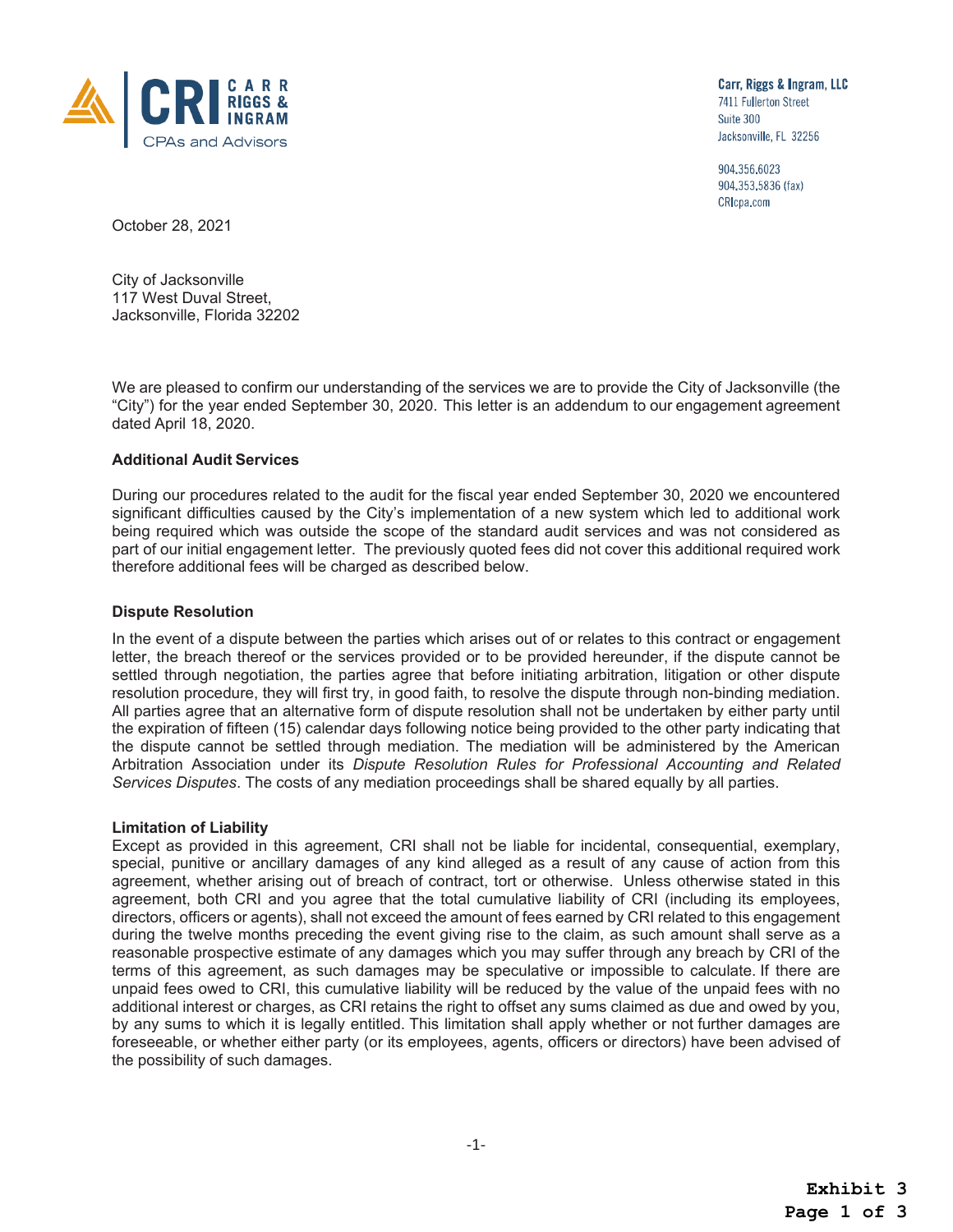

Carr, Riggs & Ingram, LLC 7411 Fullerton Street Suite 300 Jacksonville, FL 32256

904,356,6023 904,353,5836 (fax) CRIcpa.com

October 28, 2021

City of Jacksonville 117 West Duval Street, Jacksonville, Florida 32202

We are pleased to confirm our understanding of the services we are to provide the City of Jacksonville (the "City") for the year ended September 30, 2020. This letter is an addendum to our engagement agreement dated April 18, 2020.

# **Additional Audit Services**

During our procedures related to the audit for the fiscal year ended September 30, 2020 we encountered significant difficulties caused by the City's implementation of a new system which led to additional work being required which was outside the scope of the standard audit services and was not considered as part of our initial engagement letter. The previously quoted fees did not cover this additional required work therefore additional fees will be charged as described below.

## **Dispute Resolution**

In the event of a dispute between the parties which arises out of or relates to this contract or engagement letter, the breach thereof or the services provided or to be provided hereunder, if the dispute cannot be settled through negotiation, the parties agree that before initiating arbitration, litigation or other dispute resolution procedure, they will first try, in good faith, to resolve the dispute through non-binding mediation. All parties agree that an alternative form of dispute resolution shall not be undertaken by either party until the expiration of fifteen (15) calendar days following notice being provided to the other party indicating that the dispute cannot be settled through mediation. The mediation will be administered by the American Arbitration Association under its *Dispute Resolution Rules for Professional Accounting and Related Services Disputes*. The costs of any mediation proceedings shall be shared equally by all parties.

## **Limitation of Liability**

Except as provided in this agreement, CRI shall not be liable for incidental, consequential, exemplary, special, punitive or ancillary damages of any kind alleged as a result of any cause of action from this agreement, whether arising out of breach of contract, tort or otherwise. Unless otherwise stated in this agreement, both CRI and you agree that the total cumulative liability of CRI (including its employees, directors, officers or agents), shall not exceed the amount of fees earned by CRI related to this engagement during the twelve months preceding the event giving rise to the claim, as such amount shall serve as a reasonable prospective estimate of any damages which you may suffer through any breach by CRI of the terms of this agreement, as such damages may be speculative or impossible to calculate. If there are unpaid fees owed to CRI, this cumulative liability will be reduced by the value of the unpaid fees with no additional interest or charges, as CRI retains the right to offset any sums claimed as due and owed by you, by any sums to which it is legally entitled. This limitation shall apply whether or not further damages are foreseeable, or whether either party (or its employees, agents, officers or directors) have been advised of the possibility of such damages.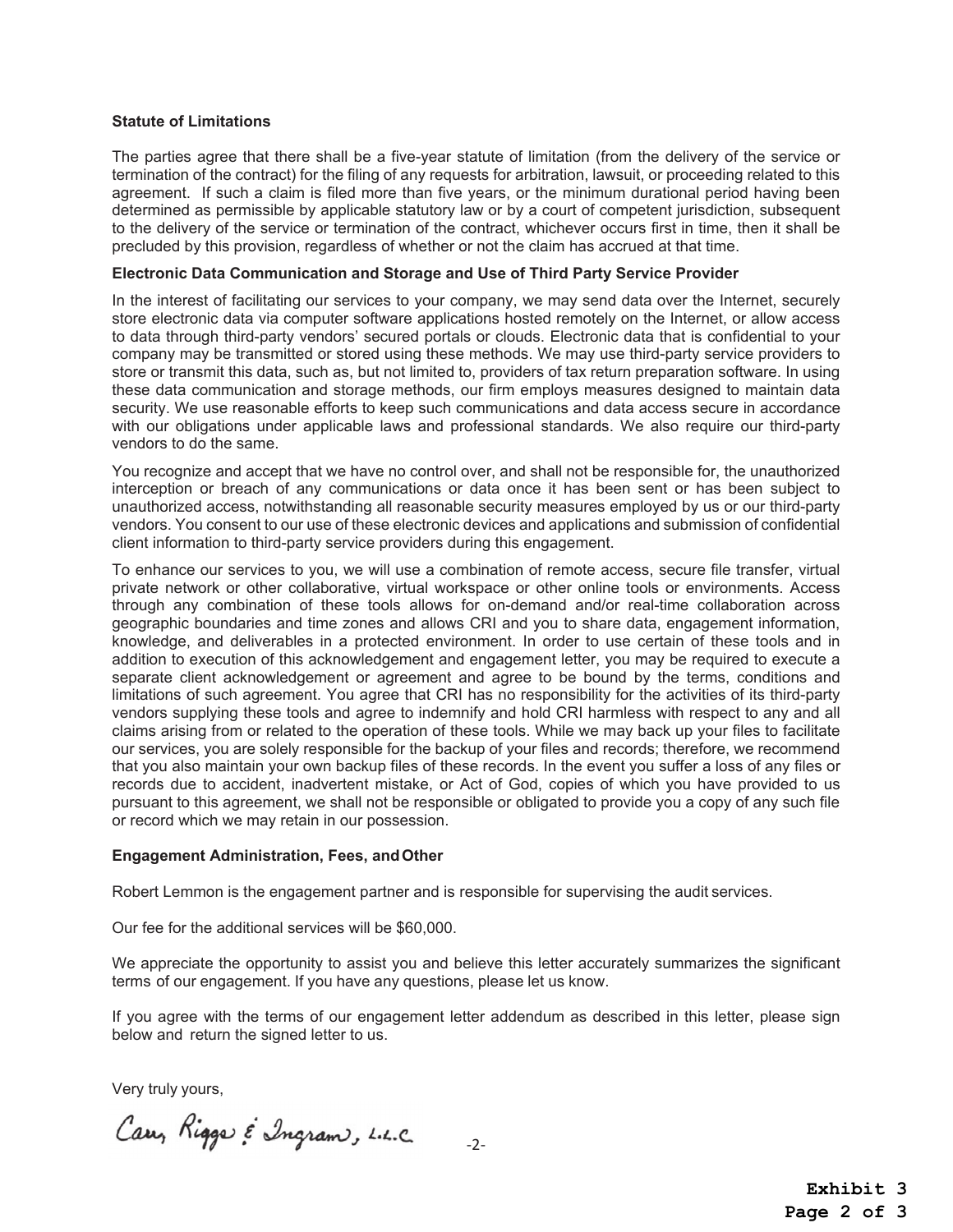## **Statute of Limitations**

The parties agree that there shall be a five-year statute of limitation (from the delivery of the service or termination of the contract) for the filing of any requests for arbitration, lawsuit, or proceeding related to this agreement. If such a claim is filed more than five years, or the minimum durational period having been determined as permissible by applicable statutory law or by a court of competent jurisdiction, subsequent to the delivery of the service or termination of the contract, whichever occurs first in time, then it shall be precluded by this provision, regardless of whether or not the claim has accrued at that time.

#### **Electronic Data Communication and Storage and Use of Third Party Service Provider**

In the interest of facilitating our services to your company, we may send data over the Internet, securely store electronic data via computer software applications hosted remotely on the Internet, or allow access to data through third-party vendors' secured portals or clouds. Electronic data that is confidential to your company may be transmitted or stored using these methods. We may use third-party service providers to store or transmit this data, such as, but not limited to, providers of tax return preparation software. In using these data communication and storage methods, our firm employs measures designed to maintain data security. We use reasonable efforts to keep such communications and data access secure in accordance with our obligations under applicable laws and professional standards. We also require our third-party vendors to do the same.

You recognize and accept that we have no control over, and shall not be responsible for, the unauthorized interception or breach of any communications or data once it has been sent or has been subject to unauthorized access, notwithstanding all reasonable security measures employed by us or our third-party vendors. You consent to our use of these electronic devices and applications and submission of confidential client information to third-party service providers during this engagement.

To enhance our services to you, we will use a combination of remote access, secure file transfer, virtual private network or other collaborative, virtual workspace or other online tools or environments. Access through any combination of these tools allows for on-demand and/or real-time collaboration across geographic boundaries and time zones and allows CRI and you to share data, engagement information, knowledge, and deliverables in a protected environment. In order to use certain of these tools and in addition to execution of this acknowledgement and engagement letter, you may be required to execute a separate client acknowledgement or agreement and agree to be bound by the terms, conditions and limitations of such agreement. You agree that CRI has no responsibility for the activities of its third-party vendors supplying these tools and agree to indemnify and hold CRI harmless with respect to any and all claims arising from or related to the operation of these tools. While we may back up your files to facilitate our services, you are solely responsible for the backup of your files and records; therefore, we recommend that you also maintain your own backup files of these records. In the event you suffer a loss of any files or records due to accident, inadvertent mistake, or Act of God, copies of which you have provided to us pursuant to this agreement, we shall not be responsible or obligated to provide you a copy of any such file or record which we may retain in our possession.

#### **Engagement Administration, Fees, and Other**

Robert Lemmon is the engagement partner and is responsible for supervising the audit services.

Our fee for the additional services will be \$60,000.

We appreciate the opportunity to assist you and believe this letter accurately summarizes the significant terms of our engagement. If you have any questions, please let us know.

If you agree with the terms of our engagement letter addendum as described in this letter, please sign below and return the signed letter to us.

 $-2-$ 

Very truly yours,

Carry Rigger & Ingram, L.L.C

**Exhibit 3 Page 2 of 3**